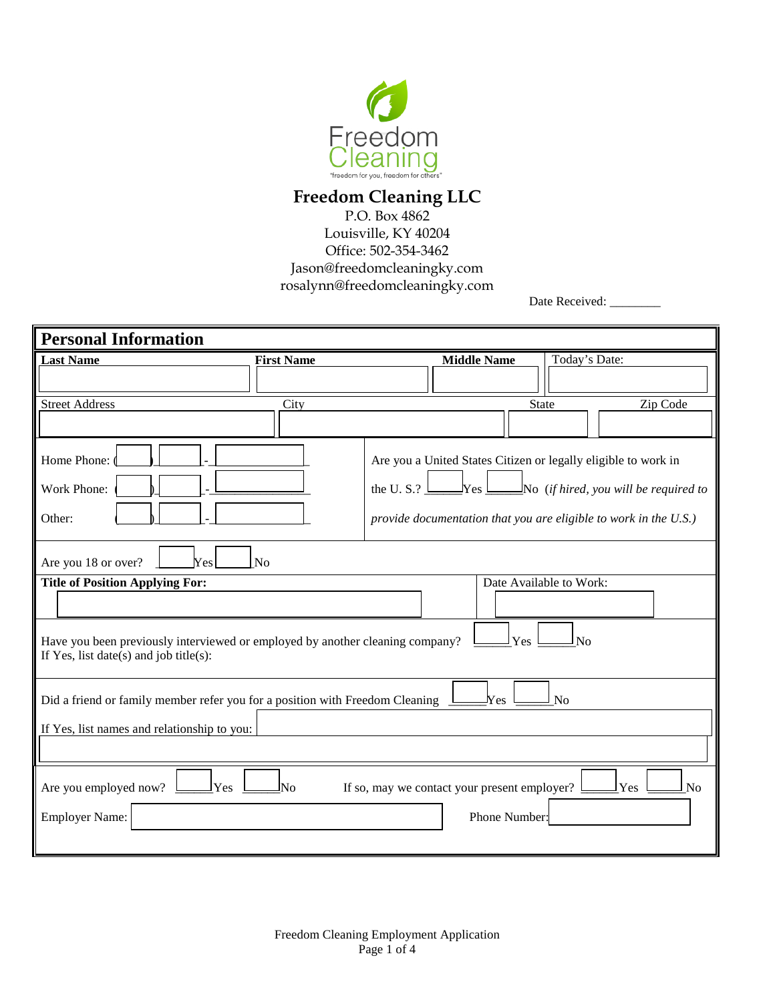

## **Freedom Cleaning LLC**

P.O. Box 4862 Louisville, KY 40204 Office: 502-354-3462 Jason@freedomcleaningky.com rosalynn@freedomcleaningky.com

Date Received: \_\_\_\_\_\_\_\_

| <b>Personal Information</b>                                                                                                          |                                                                   |               |  |  |  |
|--------------------------------------------------------------------------------------------------------------------------------------|-------------------------------------------------------------------|---------------|--|--|--|
| <b>Last Name</b><br><b>First Name</b>                                                                                                | <b>Middle Name</b>                                                | Today's Date: |  |  |  |
|                                                                                                                                      |                                                                   |               |  |  |  |
| <b>Street Address</b><br>City                                                                                                        | State                                                             | Zip Code      |  |  |  |
|                                                                                                                                      |                                                                   |               |  |  |  |
| Home Phone:                                                                                                                          | Are you a United States Citizen or legally eligible to work in    |               |  |  |  |
| Work Phone:                                                                                                                          | the U.S.? $\Box$ Yes $\Box$ No (if hired, you will be required to |               |  |  |  |
| Other:                                                                                                                               | provide documentation that you are eligible to work in the U.S.)  |               |  |  |  |
| Are you 18 or over?<br><b>Yes</b><br>N <sub>o</sub>                                                                                  |                                                                   |               |  |  |  |
| <b>Title of Position Applying For:</b>                                                                                               | Date Available to Work:                                           |               |  |  |  |
|                                                                                                                                      |                                                                   |               |  |  |  |
| Have you been previously interviewed or employed by another cleaning company?<br>Yes<br>No<br>If Yes, list date(s) and job title(s): |                                                                   |               |  |  |  |
| Did a friend or family member refer you for a position with Freedom Cleaning<br>$N_{\rm{es}}$<br>No                                  |                                                                   |               |  |  |  |
| If Yes, list names and relationship to you:                                                                                          |                                                                   |               |  |  |  |
|                                                                                                                                      |                                                                   |               |  |  |  |
| Are you employed now?<br>Yes<br>If so, may we contact your present employer?<br>Yes<br>No<br>Nο                                      |                                                                   |               |  |  |  |
| <b>Employer Name:</b>                                                                                                                | Phone Number:                                                     |               |  |  |  |
|                                                                                                                                      |                                                                   |               |  |  |  |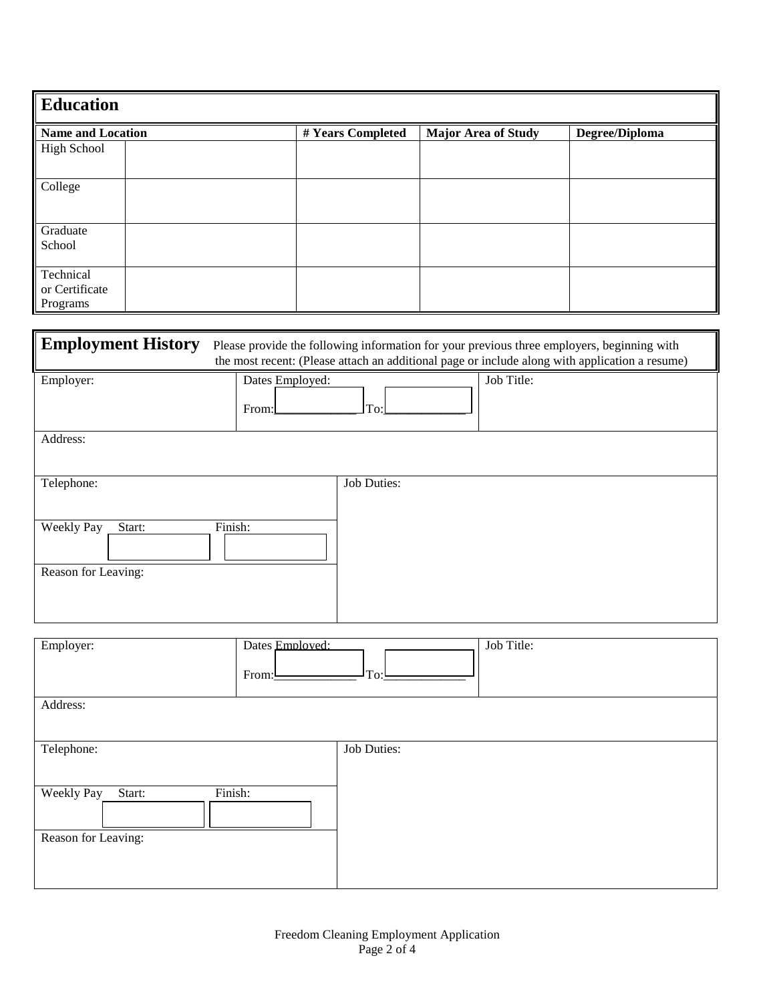| <b>Education</b>         |  |                   |                            |                |  |
|--------------------------|--|-------------------|----------------------------|----------------|--|
| <b>Name and Location</b> |  | # Years Completed | <b>Major Area of Study</b> | Degree/Diploma |  |
| <b>High School</b>       |  |                   |                            |                |  |
| College                  |  |                   |                            |                |  |
| Graduate                 |  |                   |                            |                |  |
| School                   |  |                   |                            |                |  |
| Technical                |  |                   |                            |                |  |
| or Certificate           |  |                   |                            |                |  |
| Programs                 |  |                   |                            |                |  |

| <b>Employment History</b>   |                          |                    | Please provide the following information for your previous three employers, beginning with<br>the most recent: (Please attach an additional page or include along with application a resume) |
|-----------------------------|--------------------------|--------------------|----------------------------------------------------------------------------------------------------------------------------------------------------------------------------------------------|
| Employer:                   | Dates Employed:<br>From: | To:                | Job Title:                                                                                                                                                                                   |
| Address:                    |                          |                    |                                                                                                                                                                                              |
| Telephone:                  |                          | Job Duties:        |                                                                                                                                                                                              |
| Weekly Pay<br>Start:        | Finish:                  |                    |                                                                                                                                                                                              |
| Reason for Leaving:         |                          |                    |                                                                                                                                                                                              |
| Employer:                   | Dates Employed:<br>From: | To:                | Job Title:                                                                                                                                                                                   |
| Address:                    |                          |                    |                                                                                                                                                                                              |
| Telephone:                  |                          | <b>Job Duties:</b> |                                                                                                                                                                                              |
| <b>Weekly Pay</b><br>Start: | Finish:                  |                    |                                                                                                                                                                                              |
| Reason for Leaving:         |                          |                    |                                                                                                                                                                                              |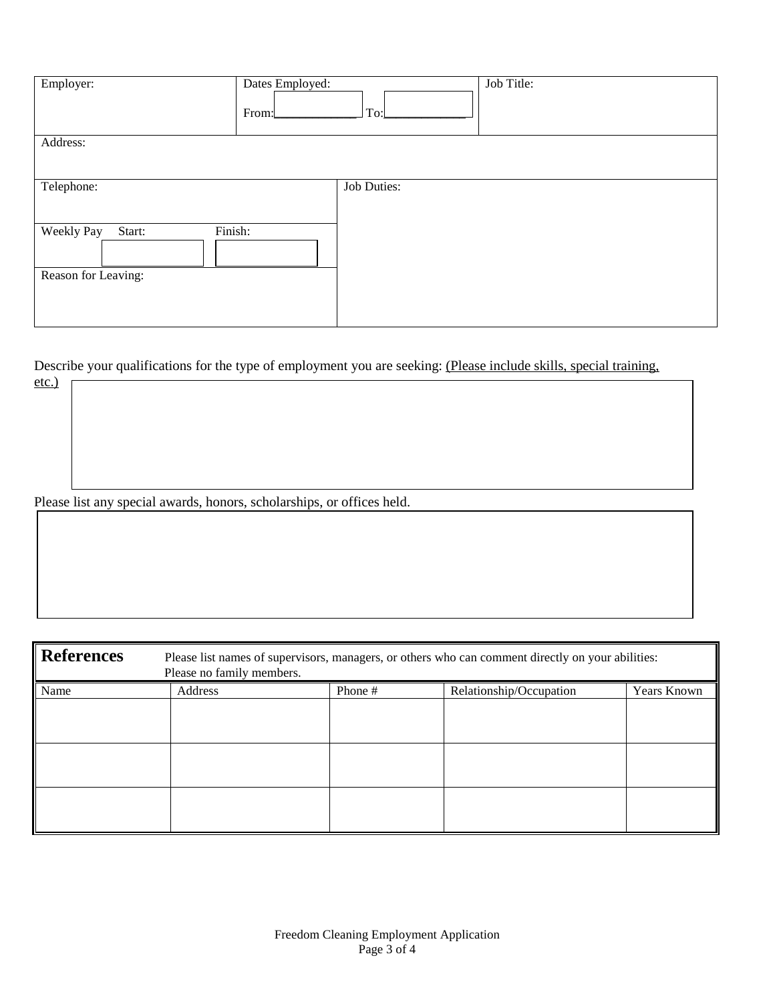| Employer:                                              | Dates Employed:<br>From: | To:         | Job Title: |
|--------------------------------------------------------|--------------------------|-------------|------------|
| Address:                                               |                          |             |            |
| Telephone:                                             |                          | Job Duties: |            |
| Finish:<br>Weekly Pay<br>Start:<br>Reason for Leaving: |                          |             |            |

Describe your qualifications for the type of employment you are seeking: (Please include skills, special training,

Please list any special awards, honors, scholarships, or offices held.

etc.)

| <b>References</b> | Please list names of supervisors, managers, or others who can comment directly on your abilities:<br>Please no family members. |         |                         |             |
|-------------------|--------------------------------------------------------------------------------------------------------------------------------|---------|-------------------------|-------------|
| Name              | Address                                                                                                                        | Phone # | Relationship/Occupation | Years Known |
|                   |                                                                                                                                |         |                         |             |
|                   |                                                                                                                                |         |                         |             |
|                   |                                                                                                                                |         |                         |             |
|                   |                                                                                                                                |         |                         |             |
|                   |                                                                                                                                |         |                         |             |
|                   |                                                                                                                                |         |                         |             |
|                   |                                                                                                                                |         |                         |             |
|                   |                                                                                                                                |         |                         |             |
|                   |                                                                                                                                |         |                         |             |